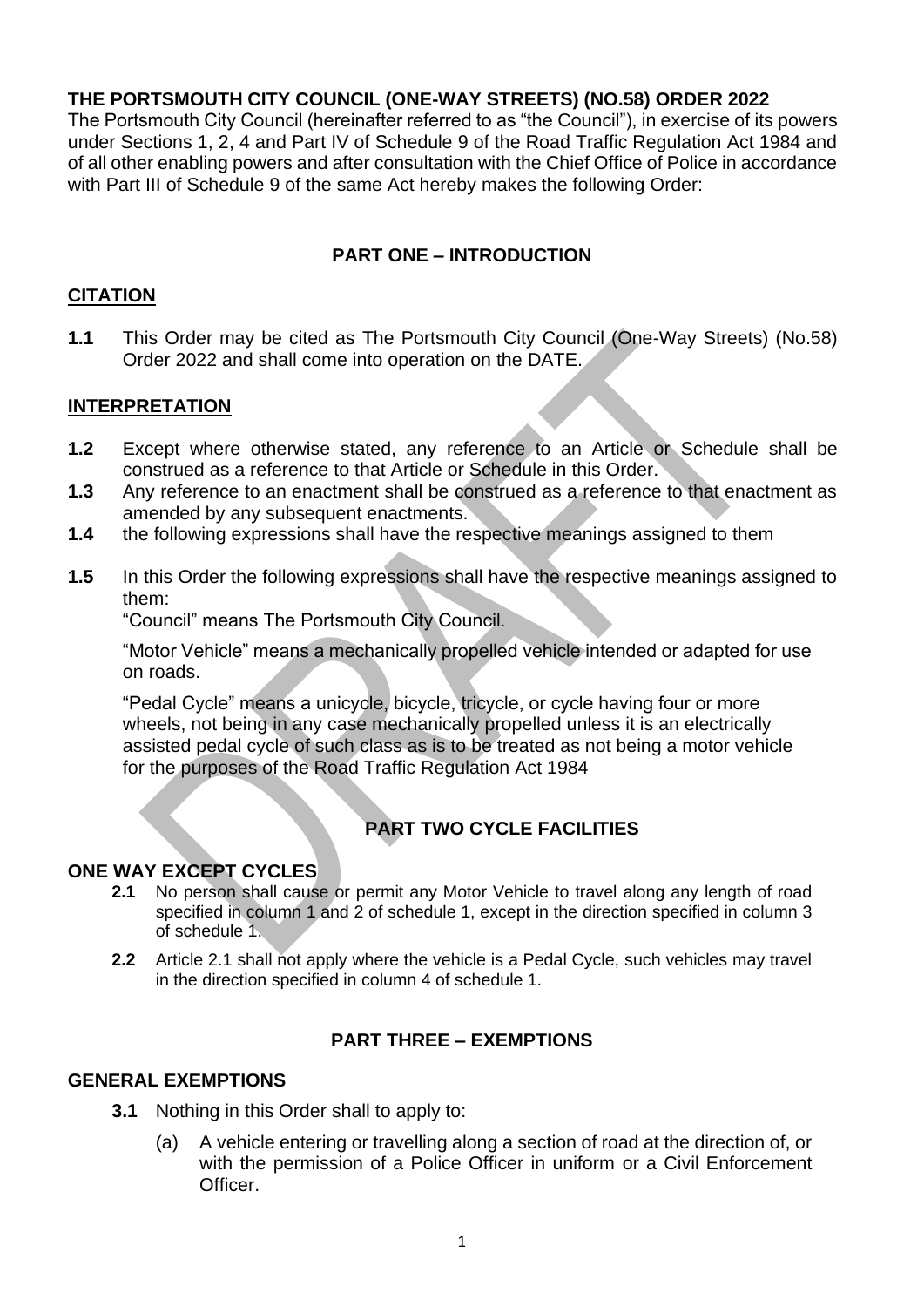### **THE PORTSMOUTH CITY COUNCIL (ONE-WAY STREETS) (NO.58) ORDER 2022**

The Portsmouth City Council (hereinafter referred to as "the Council"), in exercise of its powers under Sections 1, 2, 4 and Part IV of Schedule 9 of the Road Traffic Regulation Act 1984 and of all other enabling powers and after consultation with the Chief Office of Police in accordance with Part III of Schedule 9 of the same Act hereby makes the following Order:

## **PART ONE – INTRODUCTION**

### **CITATION**

**1.1** This Order may be cited as The Portsmouth City Council (One-Way Streets) (No.58) Order 2022 and shall come into operation on the DATE.

### **INTERPRETATION**

- **1.2** Except where otherwise stated, any reference to an Article or Schedule shall be construed as a reference to that Article or Schedule in this Order.
- **1.3** Any reference to an enactment shall be construed as a reference to that enactment as amended by any subsequent enactments.
- **1.4** the following expressions shall have the respective meanings assigned to them
- **1.5** In this Order the following expressions shall have the respective meanings assigned to them:

"Council" means The Portsmouth City Council.

"Motor Vehicle" means a mechanically propelled vehicle intended or adapted for use on roads.

"Pedal Cycle" means a unicycle, bicycle, tricycle, or cycle having four or more wheels, not being in any case mechanically propelled unless it is an electrically assisted pedal cycle of such class as is to be treated as not being a motor vehicle for the purposes of the Road Traffic Regulation Act 1984

# **PART TWO CYCLE FACILITIES**

#### **ONE WAY EXCEPT CYCLES**

- **2.1** No person shall cause or permit any Motor Vehicle to travel along any length of road specified in column 1 and 2 of schedule 1, except in the direction specified in column 3 of schedule 1.
- **2.2** Article 2.1 shall not apply where the vehicle is a Pedal Cycle, such vehicles may travel in the direction specified in column 4 of schedule 1.

#### **PART THREE – EXEMPTIONS**

#### **GENERAL EXEMPTIONS**

- **3.1** Nothing in this Order shall to apply to:
	- (a) A vehicle entering or travelling along a section of road at the direction of, or with the permission of a Police Officer in uniform or a Civil Enforcement Officer.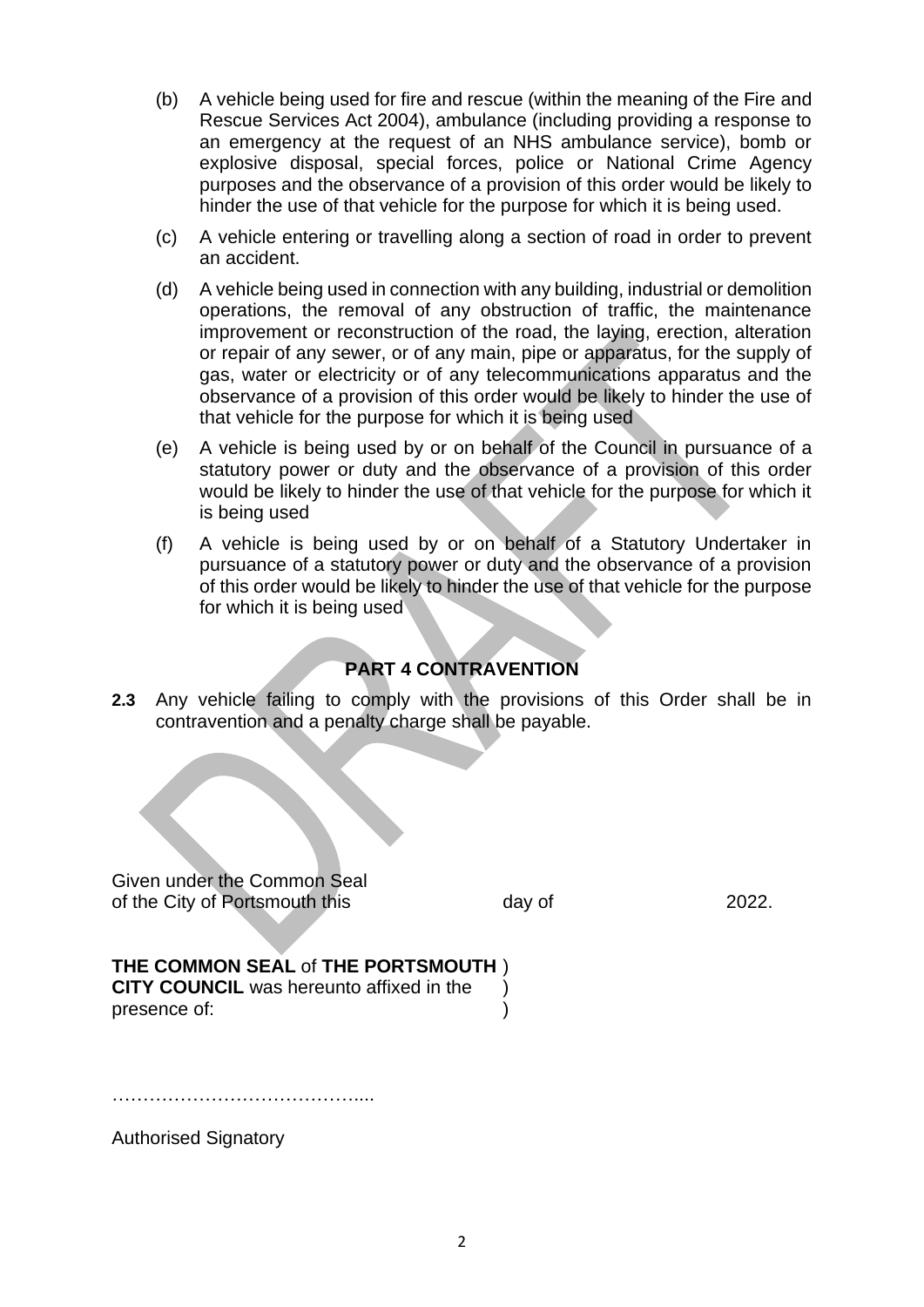- (b) A vehicle being used for fire and rescue (within the meaning of the Fire and Rescue Services Act 2004), ambulance (including providing a response to an emergency at the request of an NHS ambulance service), bomb or explosive disposal, special forces, police or National Crime Agency purposes and the observance of a provision of this order would be likely to hinder the use of that vehicle for the purpose for which it is being used.
- (c) A vehicle entering or travelling along a section of road in order to prevent an accident.
- (d) A vehicle being used in connection with any building, industrial or demolition operations, the removal of any obstruction of traffic, the maintenance improvement or reconstruction of the road, the laying, erection, alteration or repair of any sewer, or of any main, pipe or apparatus, for the supply of gas, water or electricity or of any telecommunications apparatus and the observance of a provision of this order would be likely to hinder the use of that vehicle for the purpose for which it is being used
- (e) A vehicle is being used by or on behalf of the Council in pursuance of a statutory power or duty and the observance of a provision of this order would be likely to hinder the use of that vehicle for the purpose for which it is being used
- (f) A vehicle is being used by or on behalf of a Statutory Undertaker in pursuance of a statutory power or duty and the observance of a provision of this order would be likely to hinder the use of that vehicle for the purpose for which it is being used

# **PART 4 CONTRAVENTION**

**2.3** Any vehicle failing to comply with the provisions of this Order shall be in contravention and a penalty charge shall be payable.

Given under the Common Seal of the City of Portsmouth this day of 2022.

#### **THE COMMON SEAL** of **THE PORTSMOUTH** ) **CITY COUNCIL** was hereunto affixed in the )

presence of:  $\qquad \qquad$ )

…………………………………....

Authorised Signatory